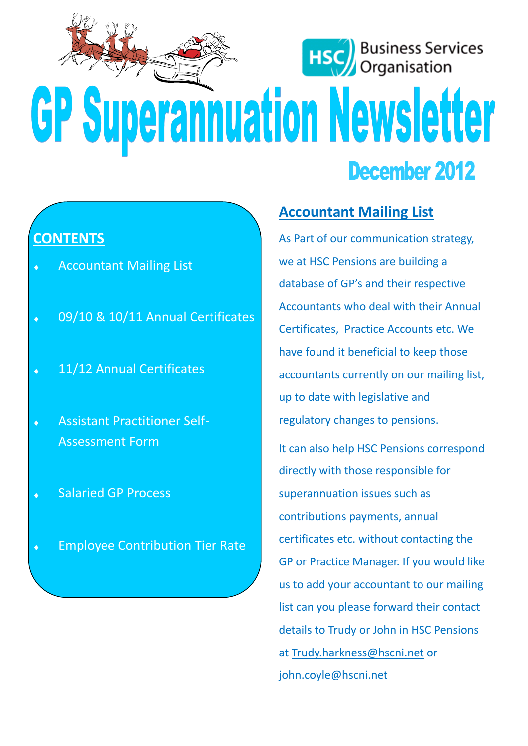

### **CONTENTS**

- Accountant Mailing List
- 09/10 & 10/11 Annual Certificates  $\ddot{\bullet}$
- 11/12 Annual Certificates
- Assistant Practitioner Self- $\ddot{\bullet}$ Assessment Form
- Salaried GP Process
- Employee Contribution Tier Rate

# **Accountant Mailing List**

As Part of our communication strategy, we at HSC Pensions are building a database of GP's and their respective Accountants who deal with their Annual Certificates, Practice Accounts etc. We have found it beneficial to keep those accountants currently on our mailing list, up to date with legislative and regulatory changes to pensions.

It can also help HSC Pensions correspond directly with those responsible for superannuation issues such as contributions payments, annual certificates etc. without contacting the GP or Practice Manager. If you would like us to add your accountant to our mailing list can you please forward their contact details to Trudy or John in HSC Pensions at [Trudy.harkness@hscni.net](mailto:Trudy.harkness@hscni.net) or [john.coyle@hscni.net](mailto:john.coyle@hscni.net)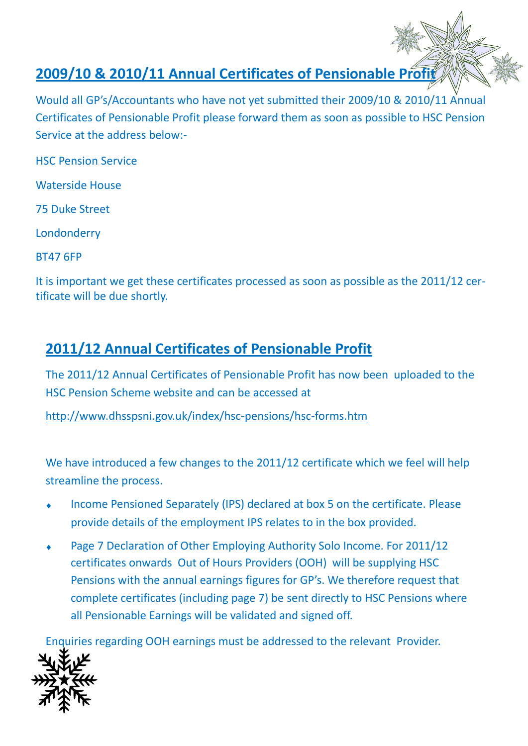# **2009/10 & 2010/11 Annual Certificates of Pensionable Profit**

Would all GP's/Accountants who have not yet submitted their 2009/10 & 2010/11 Annual Certificates of Pensionable Profit please forward them as soon as possible to HSC Pension Service at the address below:-

HSC Pension Service

Waterside House

75 Duke Street

Londonderry

BT47 6FP

It is important we get these certificates processed as soon as possible as the 2011/12 certificate will be due shortly.

# **2011/12 Annual Certificates of Pensionable Profit**

The 2011/12 Annual Certificates of Pensionable Profit has now been uploaded to the HSC Pension Scheme website and can be accessed at

<http://www.dhsspsni.gov.uk/index/hsc-pensions/hsc-forms.htm>

We have introduced a few changes to the 2011/12 certificate which we feel will help streamline the process.

- Income Pensioned Separately (IPS) declared at box 5 on the certificate. Please provide details of the employment IPS relates to in the box provided.
- Page 7 Declaration of Other Employing Authority Solo Income. For 2011/12 certificates onwards Out of Hours Providers (OOH) will be supplying HSC Pensions with the annual earnings figures for GP's. We therefore request that complete certificates (including page 7) be sent directly to HSC Pensions where all Pensionable Earnings will be validated and signed off.

Enquiries regarding OOH earnings must be addressed to the relevant Provider.

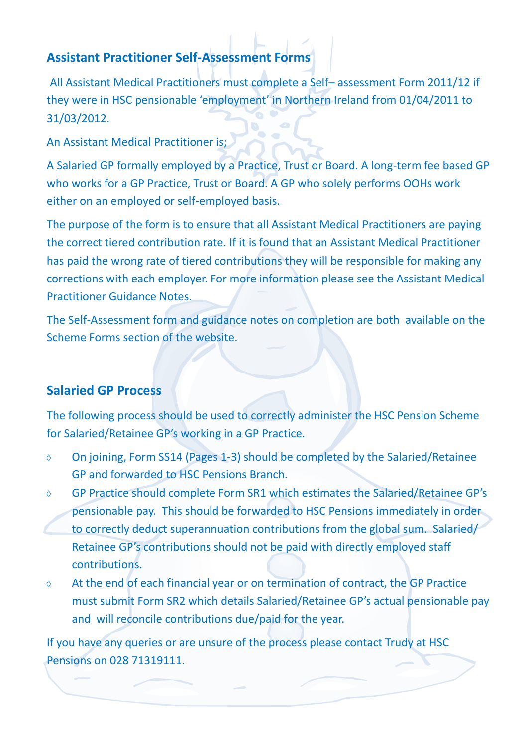### **Assistant Practitioner Self-Assessment Forms**

All Assistant Medical Practitioners must complete a Self– assessment Form 2011/12 if they were in HSC pensionable 'employment' in Northern Ireland from 01/04/2011 to 31/03/2012.

An Assistant Medical Practitioner is;

A Salaried GP formally employed by a Practice, Trust or Board. A long-term fee based GP who works for a GP Practice, Trust or Board. A GP who solely performs OOHs work either on an employed or self-employed basis.

The purpose of the form is to ensure that all Assistant Medical Practitioners are paying the correct tiered contribution rate. If it is found that an Assistant Medical Practitioner has paid the wrong rate of tiered contributions they will be responsible for making any corrections with each employer. For more information please see the Assistant Medical Practitioner Guidance Notes.

The Self-Assessment form and guidance notes on completion are both available on the Scheme Forms section of the website.

### **Salaried GP Process**

The following process should be used to correctly administer the HSC Pension Scheme for Salaried/Retainee GP's working in a GP Practice.

- On joining, Form SS14 (Pages 1-3) should be completed by the Salaried/Retainee  $\Diamond$ GP and forwarded to HSC Pensions Branch.
- GP Practice should complete Form SR1 which estimates the Salaried/Retainee GP's  $\Diamond$ pensionable pay. This should be forwarded to HSC Pensions immediately in order to correctly deduct superannuation contributions from the global sum. Salaried/ Retainee GP's contributions should not be paid with directly employed staff contributions.
- At the end of each financial year or on termination of contract, the GP Practice  $\Diamond$ must submit Form SR2 which details Salaried/Retainee GP's actual pensionable pay and will reconcile contributions due/paid for the year.

If you have any queries or are unsure of the process please contact Trudy at HSC Pensions on 028 71319111.